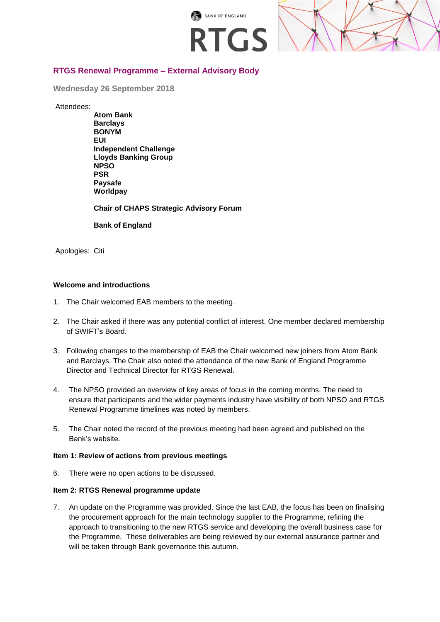



# **RTGS Renewal Programme – External Advisory Body**

**Wednesday 26 September 2018**

Attendees:

**Atom Bank Barclays BONYM EUI Independent Challenge Lloyds Banking Group NPSO PSR Paysafe Worldpay**

**Chair of CHAPS Strategic Advisory Forum**

**Bank of England**

Apologies: Citi

# **Welcome and introductions**

- 1. The Chair welcomed EAB members to the meeting.
- 2. The Chair asked if there was any potential conflict of interest. One member declared membership of SWIFT's Board.
- 3. Following changes to the membership of EAB the Chair welcomed new joiners from Atom Bank and Barclays. The Chair also noted the attendance of the new Bank of England Programme Director and Technical Director for RTGS Renewal.
- 4. The NPSO provided an overview of key areas of focus in the coming months. The need to ensure that participants and the wider payments industry have visibility of both NPSO and RTGS Renewal Programme timelines was noted by members.
- 5. The Chair noted the record of the previous meeting had been agreed and published on the Bank's website.

### **Item 1: Review of actions from previous meetings**

6. There were no open actions to be discussed.

### **Item 2: RTGS Renewal programme update**

7. An update on the Programme was provided. Since the last EAB, the focus has been on finalising the procurement approach for the main technology supplier to the Programme, refining the approach to transitioning to the new RTGS service and developing the overall business case for the Programme. These deliverables are being reviewed by our external assurance partner and will be taken through Bank governance this autumn.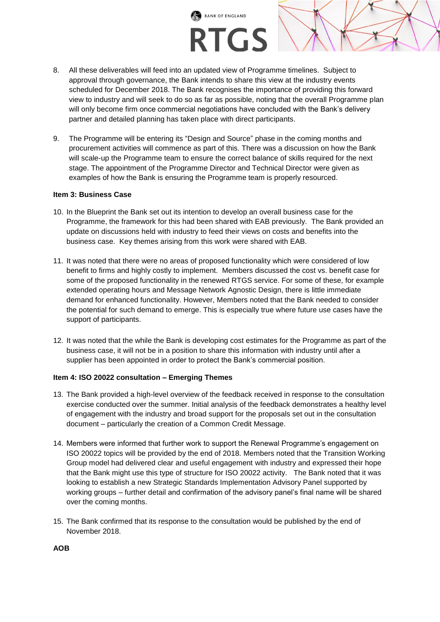

- 8. All these deliverables will feed into an updated view of Programme timelines. Subject to approval through governance, the Bank intends to share this view at the industry events scheduled for December 2018. The Bank recognises the importance of providing this forward view to industry and will seek to do so as far as possible, noting that the overall Programme plan will only become firm once commercial negotiations have concluded with the Bank's delivery partner and detailed planning has taken place with direct participants.
- 9. The Programme will be entering its "Design and Source" phase in the coming months and procurement activities will commence as part of this. There was a discussion on how the Bank will scale-up the Programme team to ensure the correct balance of skills required for the next stage. The appointment of the Programme Director and Technical Director were given as examples of how the Bank is ensuring the Programme team is properly resourced.

### **Item 3: Business Case**

- 10. In the Blueprint the Bank set out its intention to develop an overall business case for the Programme, the framework for this had been shared with EAB previously. The Bank provided an update on discussions held with industry to feed their views on costs and benefits into the business case. Key themes arising from this work were shared with EAB.
- 11. It was noted that there were no areas of proposed functionality which were considered of low benefit to firms and highly costly to implement. Members discussed the cost vs. benefit case for some of the proposed functionality in the renewed RTGS service. For some of these, for example extended operating hours and Message Network Agnostic Design, there is little immediate demand for enhanced functionality. However, Members noted that the Bank needed to consider the potential for such demand to emerge. This is especially true where future use cases have the support of participants.
- 12. It was noted that the while the Bank is developing cost estimates for the Programme as part of the business case, it will not be in a position to share this information with industry until after a supplier has been appointed in order to protect the Bank's commercial position.

# **Item 4: ISO 20022 consultation – Emerging Themes**

- 13. The Bank provided a high-level overview of the feedback received in response to the consultation exercise conducted over the summer. Initial analysis of the feedback demonstrates a healthy level of engagement with the industry and broad support for the proposals set out in the consultation document – particularly the creation of a Common Credit Message.
- 14. Members were informed that further work to support the Renewal Programme's engagement on ISO 20022 topics will be provided by the end of 2018. Members noted that the Transition Working Group model had delivered clear and useful engagement with industry and expressed their hope that the Bank might use this type of structure for ISO 20022 activity. The Bank noted that it was looking to establish a new Strategic Standards Implementation Advisory Panel supported by working groups – further detail and confirmation of the advisory panel's final name will be shared over the coming months.
- 15. The Bank confirmed that its response to the consultation would be published by the end of November 2018.

**AOB**